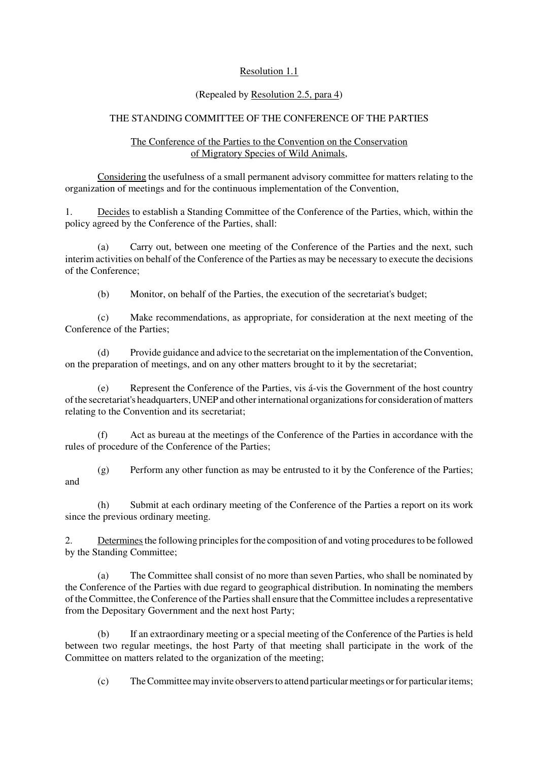## Resolution 1.1

## (Repealed by Resolution 2.5, para 4)

## THE STANDING COMMITTEE OF THE CONFERENCE OF THE PARTIES

## The Conference of the Parties to the Convention on the Conservation of Migratory Species of Wild Animals,

Considering the usefulness of a small permanent advisory committee for matters relating to the organization of meetings and for the continuous implementation of the Convention,

1. Decides to establish a Standing Committee of the Conference of the Parties, which, within the policy agreed by the Conference of the Parties, shall:

(a) Carry out, between one meeting of the Conference of the Parties and the next, such interim activities on behalf of the Conference of the Parties as may be necessary to execute the decisions of the Conference;

(b) Monitor, on behalf of the Parties, the execution of the secretariat's budget;

(c) Make recommendations, as appropriate, for consideration at the next meeting of the Conference of the Parties;

(d) Provide guidance and advice to the secretariat on the implementation of the Convention, on the preparation of meetings, and on any other matters brought to it by the secretariat;

(e) Represent the Conference of the Parties, vis á-vis the Government of the host country of the secretariat's headquarters, UNEP and other international organizations for consideration of matters relating to the Convention and its secretariat;

(f) Act as bureau at the meetings of the Conference of the Parties in accordance with the rules of procedure of the Conference of the Parties;

(g) Perform any other function as may be entrusted to it by the Conference of the Parties; and

(h) Submit at each ordinary meeting of the Conference of the Parties a report on its work since the previous ordinary meeting.

2. Determines the following principles for the composition of and voting procedures to be followed by the Standing Committee;

(a) The Committee shall consist of no more than seven Parties, who shall be nominated by the Conference of the Parties with due regard to geographical distribution. In nominating the members of the Committee, the Conference of the Parties shall ensure that the Committee includes a representative from the Depositary Government and the next host Party;

(b) If an extraordinary meeting or a special meeting of the Conference of the Parties is held between two regular meetings, the host Party of that meeting shall participate in the work of the Committee on matters related to the organization of the meeting;

(c) The Committee may invite observers to attend particular meetings or for particular items;